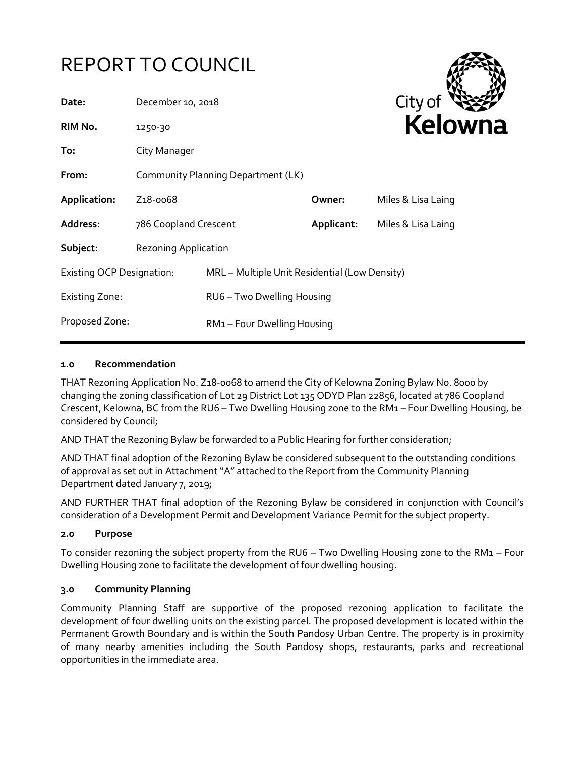# REPORT TO COUNCIL

| Date:                            | December 10, 2018                  |                                               |            | City of            |
|----------------------------------|------------------------------------|-----------------------------------------------|------------|--------------------|
| RIM No.                          | 1250-30                            |                                               |            | Kelown             |
| To:                              | City Manager                       |                                               |            |                    |
| From:                            | Community Planning Department (LK) |                                               |            |                    |
| Application:                     | Z <sub>1</sub> 8-0068              |                                               | Owner:     | Miles & Lisa Laing |
| <b>Address:</b>                  | 786 Coopland Crescent              |                                               | Applicant: | Miles & Lisa Laing |
| Subject:                         | <b>Rezoning Application</b>        |                                               |            |                    |
| <b>Existing OCP Designation:</b> |                                    | MRL - Multiple Unit Residential (Low Density) |            |                    |
| Existing Zone:                   |                                    | RU6 - Two Dwelling Housing                    |            |                    |
| Proposed Zone:                   |                                    | RM1-Four Dwelling Housing                     |            |                    |

#### **1.0 Recommendation**

THAT Rezoning Application No. Z18-0068 to amend the City of Kelowna Zoning Bylaw No. 8000 by changing the zoning classification of Lot 29 District Lot 135 ODYD Plan 22856, located at 786 Coopland Crescent, Kelowna, BC from the RU6 – Two Dwelling Housing zone to the RM1 – Four Dwelling Housing, be considered by Council;

AND THAT the Rezoning Bylaw be forwarded to a Public Hearing for further consideration;

AND THAT final adoption of the Rezoning Bylaw be considered subsequent to the outstanding conditions of approval as set out in Attachment "A" attached to the Report from the Community Planning Department dated January 7, 2019;

AND FURTHER THAT final adoption of the Rezoning Bylaw be considered in conjunction with Council's consideration of a Development Permit and Development Variance Permit for the subject property.

#### **2.0 Purpose**

To consider rezoning the subject property from the RU6 – Two Dwelling Housing zone to the RM1 – Four Dwelling Housing zone to facilitate the development of four dwelling housing.

#### **3.0 Community Planning**

Community Planning Staff are supportive of the proposed rezoning application to facilitate the development of four dwelling units on the existing parcel. The proposed development is located within the Permanent Growth Boundary and is within the South Pandosy Urban Centre. The property is in proximity of many nearby amenities including the South Pandosy shops, restaurants, parks and recreational opportunities in the immediate area.